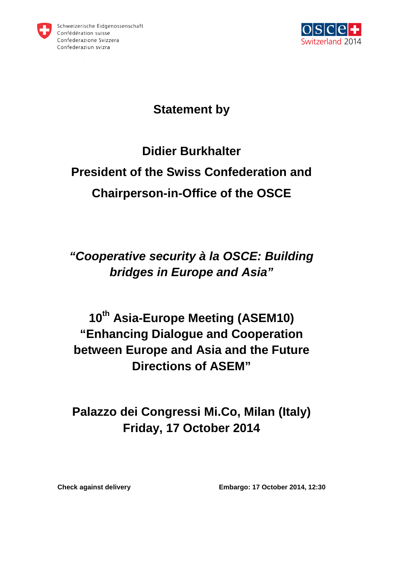



#### **Statement by**

# **Didier Burkhalter President of the Swiss Confederation and Chairperson-in-Office of the OSCE**

## **"Cooperative security à la OSCE: Building bridges in Europe and Asia"**

## **10th Asia-Europe Meeting (ASEM10) "Enhancing Dialogue and Cooperation between Europe and Asia and the Future Directions of ASEM"**

### **Palazzo dei Congressi Mi.Co, Milan (Italy) Friday, 17 October 2014**

**Check against delivery Embargo: 17 October 2014, 12:30**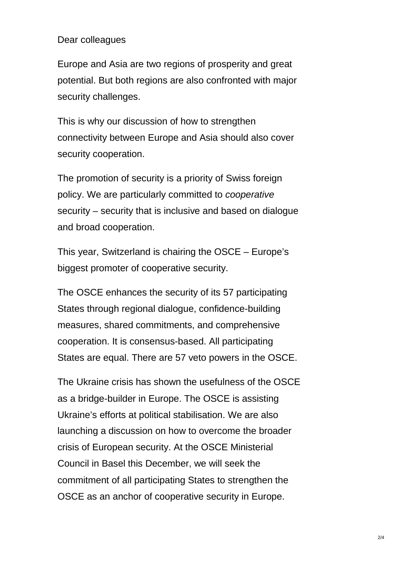#### Dear colleagues

Europe and Asia are two regions of prosperity and great potential. But both regions are also confronted with major security challenges.

This is why our discussion of how to strengthen connectivity between Europe and Asia should also cover security cooperation.

The promotion of security is a priority of Swiss foreign policy. We are particularly committed to cooperative security – security that is inclusive and based on dialogue and broad cooperation.

This year, Switzerland is chairing the OSCE – Europe's biggest promoter of cooperative security.

The OSCE enhances the security of its 57 participating States through regional dialogue, confidence-building measures, shared commitments, and comprehensive cooperation. It is consensus-based. All participating States are equal. There are 57 veto powers in the OSCE.

The Ukraine crisis has shown the usefulness of the OSCE as a bridge-builder in Europe. The OSCE is assisting Ukraine's efforts at political stabilisation. We are also launching a discussion on how to overcome the broader crisis of European security. At the OSCE Ministerial Council in Basel this December, we will seek the commitment of all participating States to strengthen the OSCE as an anchor of cooperative security in Europe.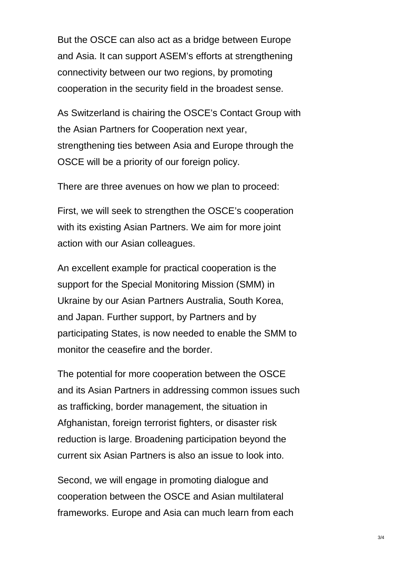But the OSCE can also act as a bridge between Europe and Asia. It can support ASEM's efforts at strengthening connectivity between our two regions, by promoting cooperation in the security field in the broadest sense.

As Switzerland is chairing the OSCE's Contact Group with the Asian Partners for Cooperation next year, strengthening ties between Asia and Europe through the OSCE will be a priority of our foreign policy.

There are three avenues on how we plan to proceed:

First, we will seek to strengthen the OSCE's cooperation with its existing Asian Partners. We aim for more joint action with our Asian colleagues.

An excellent example for practical cooperation is the support for the Special Monitoring Mission (SMM) in Ukraine by our Asian Partners Australia, South Korea, and Japan. Further support, by Partners and by participating States, is now needed to enable the SMM to monitor the ceasefire and the border.

The potential for more cooperation between the OSCE and its Asian Partners in addressing common issues such as trafficking, border management, the situation in Afghanistan, foreign terrorist fighters, or disaster risk reduction is large. Broadening participation beyond the current six Asian Partners is also an issue to look into.

Second, we will engage in promoting dialogue and cooperation between the OSCE and Asian multilateral frameworks. Europe and Asia can much learn from each